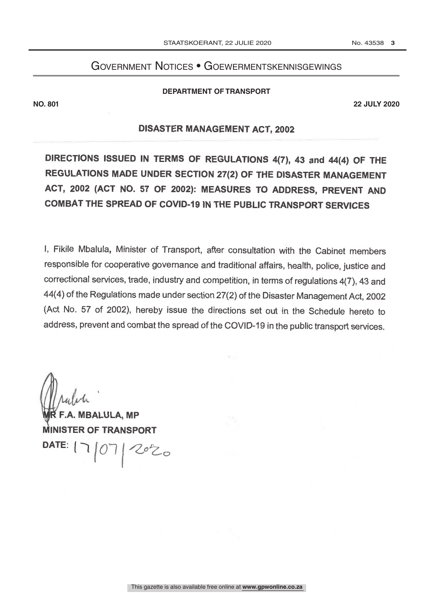# Government Notices • Goewermentskennisgewings

#### **DEPARTMENT OF TRANSPORT**

**NO. 801 22 JULY 2020**

# DISASTER MANAGEMENT ACT, 2002

DIRECTIONS ISSUED IN TERMS OF REGULATIONS 4(7), 43 and 44(4) OF THE REGULATIONS MADE UNDER SECTION 27(2) OF THE DISASTER MANAGEMENT ACT, 2002 (ACT NO. 57 OF 2002): MEASURES TO ADDRESS, PREVENT AND COMBAT THE SPREAD OF COVID -19 IN THE PUBLIC TRANSPORT SERVICES

1, Fikile Mbalula, Minister of Transport, after consultation with the Cabinet members responsible for cooperative governance and traditional affairs, health, police, justice and correctional services, trade, industry and competition, in terms of regulations 4(7), 43 and 44(4) of the Regulations made under section 27(2) of the Disaster Management Act, 2002 (Act No. 57 of 2002), hereby issue the directions set out in the Schedule hereto to address, prevent and combat the spread of the COVID-19 in the public transport services.

**MBALULA, MP** INISTER OF TRANSPORT  $\mathsf{DATE}$ :  $|\neg|$   $|$  $2020$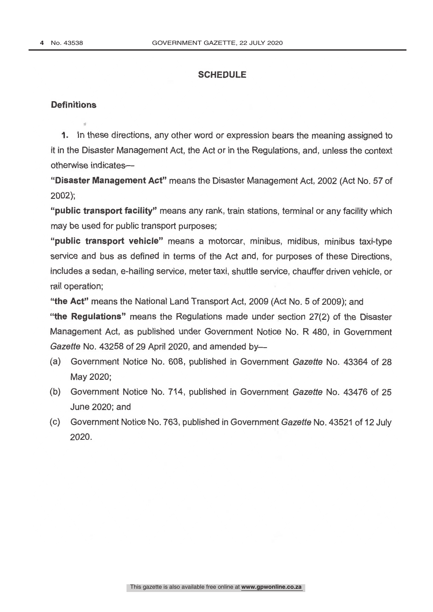# **SCHEDULE**

#### **Definitions**

1. In these directions, any other word or expression bears the meaning assigned to it in the Disaster Management Act, the Act or in the Regulations, and, unless the context otherwise indicates-

"Disaster Management Act" means the Disaster Management Act, 2002 (Act No. 57 of 2002);

"public transport facility" means any rank, train stations, terminal or any facility which may be used for public transport purposes;

"public transport vehicle" means a motorcar, minibus, midibus, minibus taxi-type service and bus as defined in terms of the Act and, for purposes of these Directions, includes a sedan, e- hailing service, meter taxi, shuttle service, chauffer driven vehicle, or rail operation;

"the Act" means the National Land Transport Act, 2009 (Act No. 5 of 2009); and

"the Regulations" means the Regulations made under section 27(2) of the Disaster Management Act, as published under Government Notice No. R 480, in Government Gazette No. 43258 of 29 April 2020, and amended by-

- (a) Government Notice No. 608, published in Government Gazette No. 43364 of 28 May 2020;
- (b) Government Notice No. 714, published in Government Gazette No. 43476 of 25 June 2020; and
- (c) Government Notice No. 763, published in Government Gazette No. 43521 of 12 July 2020.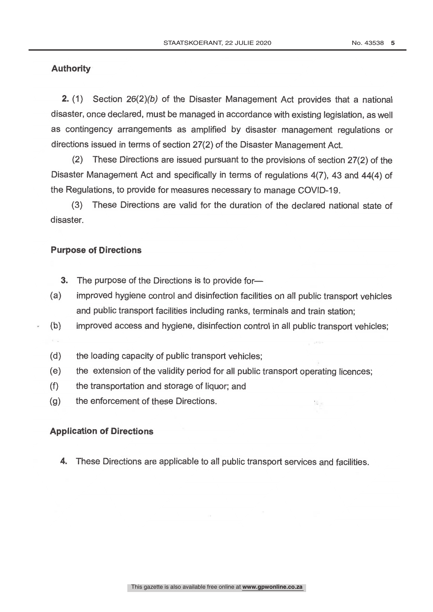# Authority

2. (1) Section 26(2)(b) of the Disaster Management Act provides that a national disaster, once declared, must be managed in accordance with existing legislation, as well as contingency arrangements as amplified by disaster management regulations or directions issued in terms of section 27(2) of the Disaster Management Act.

(2) These Directions are issued pursuant to the provisions of section 27(2) of the Disaster Management Act and specifically in terms of regulations 4(7), 43 and 44(4) of the Regulations, to provide for measures necessary to manage COVID -19.

(3) These Directions are valid for the duration of the declared national state of disaster.

#### Purpose of Directions

 $\epsilon \rightarrow$ 

- **3.** The purpose of the Directions is to provide for-
- (a) improved hygiene control and disinfection facilities on all public transport vehicles and public transport facilities including ranks, terminals and train station;
- (b) improved access and hygiene, disinfection control in all public transport vehicles;
- (d) the loading capacity of public transport vehicles;
- (e) the extension of the validity period for all public transport operating licences;

 $\mathbb{R}_{\geq 0}$ 

- (f) the transportation and storage of liquor; and
- (g) the enforcement of these Directions.

# Application of Directions

4. These Directions are applicable to all public transport services and facilities.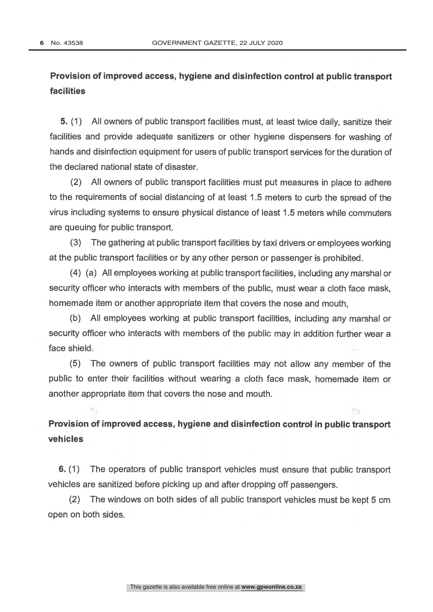$\mathcal{P}_{\mathcal{A}}$ 

# Provision of improved access, hygiene and disinfection control at public transport facilities

5. (1) All owners of public transport facilities must, at least twice daily, sanitize their facilities and provide adequate sanitizers or other hygiene dispensers for washing of hands and disinfection equipment for users of public transport services for the duration of the declared national state of disaster.

(2) All owners of public transport facilities must put measures in place to adhere to the requirements of social distancing of at least 1.5 meters to curb the spread of the virus including systems to ensure physical distance of least 1.5 meters while commuters are queuing for public transport.

(3) The gathering at public transport facilities by taxi drivers or employees working at the public transport facilities or by any other person or passenger is prohibited.

(4) (a) All employees working at public transport facilities, including any marshal or security officer who interacts with members of the public, must wear a cloth face mask, homemade item or another appropriate item that covers the nose and mouth,

(b) All employees working at public transport facilities, including any marshal or security officer who interacts with members of the public may in addition further wear a face shield.

(5) The owners of public transport facilities may not allow any member of the public to enter their facilities without wearing a cloth face mask, homemade item or another appropriate item that covers the nose and mouth.

Provision of improved access, hygiene and disinfection control in public transport vehicles

 $723$ 

6. (1) The operators of public transport vehicles must ensure that public transport vehicles are sanitized before picking up and after dropping off passengers.

(2) The windows on both sides of all public transport vehicles must be kept 5 cm open on both sides.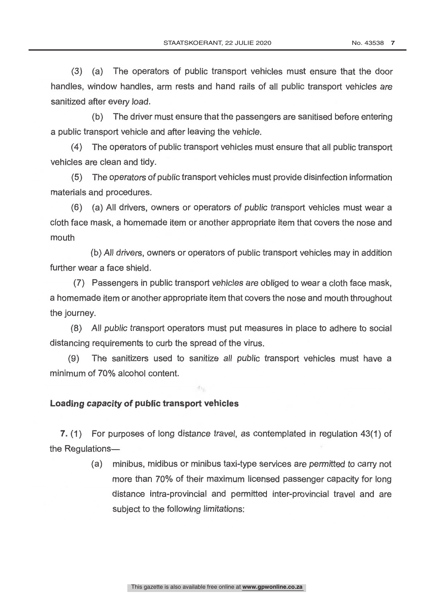(3) (a) The operators of public transport vehicles must ensure that the door handles, window handles, arm rests and hand rails of all public transport vehicles are sanitized after every load.

(b) The driver must ensure that the passengers are sanitised before entering a public transport vehicle and after leaving the vehicle.

(4) The operators of public transport vehicles must ensure that all public transport vehicles are clean and tidy.

(5) The operators of public transport vehicles must provide disinfection information materials and procedures.

(6) (a) All drivers, owners or operators of public transport vehicles must wear a cloth face mask, a homemade item or another appropriate item that covers the nose and mouth

(b) All drivers, owners or operators of public transport vehicles may in addition further wear a face shield.

(7) Passengers in public transport vehicles are obliged to wear a cloth face mask, a homemade item or another appropriate item that covers the nose and mouth throughout the journey.

(8) All public transport operators must put measures in place to adhere to social distancing requirements to curb the spread of the virus.

(9) The sanitizers used to sanitize all public transport vehicles must have a minimum of 70% alcohol content.

## Loading capacity of public transport vehicles

7. (1) For purposes of long distance travel, as contemplated in regulation 43(1) of the Regulations-

> (a) minibus, midibus or minibus taxi -type services are permitted to carry not more than 70% of their maximum licensed passenger capacity for long distance intra-provincial and permitted inter-provincial travel and are subject to the following limitations: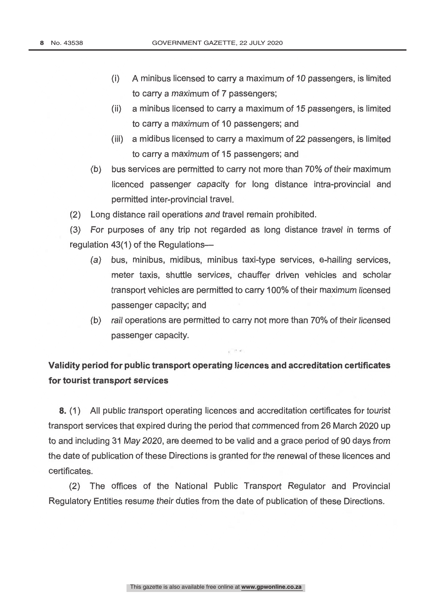- (i) A minibus licensed to carry a maximum of 10 passengers, is limited to carry a maximum of 7 passengers;
- (ii) a minibus licensed to carry a maximum of 15 passengers, is limited to carry a maximum of 10 passengers; and
- (iii) a midibus licensed to carry a maximum of 22 passengers, is limited to carry a maximum of 15 passengers; and
- (b) bus services are permitted to carry not more than 70% of their maximum licenced passenger capacity for long distance intra-provincial and permitted inter -provincial travel.

(2) Long distance rail operations and travel remain prohibited.

(3) For purposes of any trip not regarded as long distance travel in terms of regulation 43(1) of the Regulations-

- (a) bus, minibus, midibus, minibus taxi -type services, e- hailing services, meter taxis, shuttle services, chauffer driven vehicles and scholar transport vehicles are permitted to carry 100% of their maximum licensed passenger capacity; and
- (b) rail operations are permitted to carry not more than 70% of their licensed passenger capacity.

 $12 - 4$ 

# Validity period for public transport operating licences and accreditation certificates for tourist transport services

8. (1) All public transport operating licences and accreditation certificates for tourist transport services that expired during the period that commenced from 26 March 2020 up to and including 31 May 2020, are deemed to be valid and a grace period of 90 days from the date of publication of these Directions is granted for the renewal of these licences and certificates.

(2) The offices of the National Public Transport Regulator and Provincial Regulatory Entities resume their duties from the date of publication of these Directions.